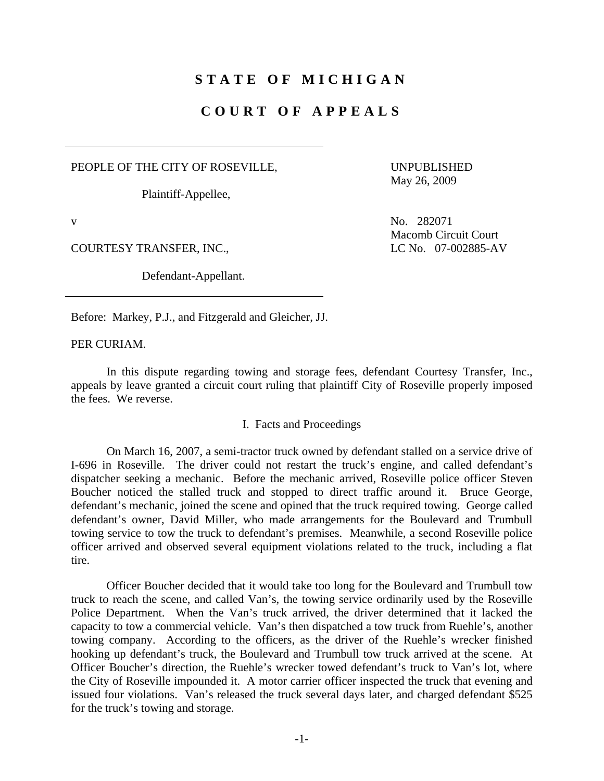## **STATE OF MICHIGAN**

## **COURT OF APPEALS**

PEOPLE OF THE CITY OF ROSEVILLE,

Plaintiff-Appellee,

COURTESY TRANSFER, INC., LC No. 07-002885-AV

Defendant-Appellant.

 UNPUBLISHED May 26, 2009

v No. 282071 Macomb Circuit Court

Before: Markey, P.J., and Fitzgerald and Gleicher, JJ.

PER CURIAM.

 In this dispute regarding towing and storage fees, defendant Courtesy Transfer, Inc., appeals by leave granted a circuit court ruling that plaintiff City of Roseville properly imposed the fees. We reverse.

## I. Facts and Proceedings

 On March 16, 2007, a semi-tractor truck owned by defendant stalled on a service drive of I-696 in Roseville. The driver could not restart the truck's engine, and called defendant's dispatcher seeking a mechanic. Before the mechanic arrived, Roseville police officer Steven Boucher noticed the stalled truck and stopped to direct traffic around it. Bruce George, defendant's mechanic, joined the scene and opined that the truck required towing. George called defendant's owner, David Miller, who made arrangements for the Boulevard and Trumbull towing service to tow the truck to defendant's premises. Meanwhile, a second Roseville police officer arrived and observed several equipment violations related to the truck, including a flat tire.

 Officer Boucher decided that it would take too long for the Boulevard and Trumbull tow truck to reach the scene, and called Van's, the towing service ordinarily used by the Roseville Police Department. When the Van's truck arrived, the driver determined that it lacked the capacity to tow a commercial vehicle. Van's then dispatched a tow truck from Ruehle's, another towing company. According to the officers, as the driver of the Ruehle's wrecker finished hooking up defendant's truck, the Boulevard and Trumbull tow truck arrived at the scene. At Officer Boucher's direction, the Ruehle's wrecker towed defendant's truck to Van's lot, where the City of Roseville impounded it. A motor carrier officer inspected the truck that evening and issued four violations. Van's released the truck several days later, and charged defendant \$525 for the truck's towing and storage.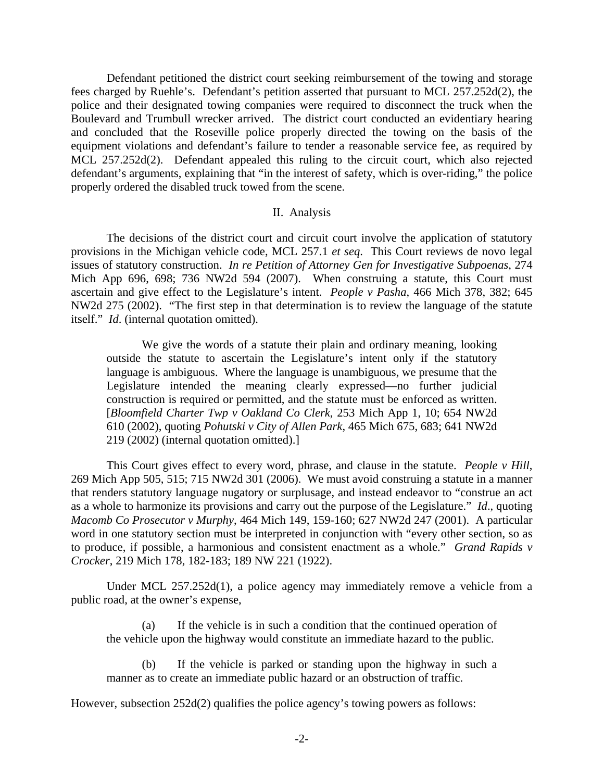Defendant petitioned the district court seeking reimbursement of the towing and storage fees charged by Ruehle's. Defendant's petition asserted that pursuant to MCL 257.252d(2), the police and their designated towing companies were required to disconnect the truck when the Boulevard and Trumbull wrecker arrived. The district court conducted an evidentiary hearing and concluded that the Roseville police properly directed the towing on the basis of the equipment violations and defendant's failure to tender a reasonable service fee, as required by MCL 257.252d(2). Defendant appealed this ruling to the circuit court, which also rejected defendant's arguments, explaining that "in the interest of safety, which is over-riding," the police properly ordered the disabled truck towed from the scene.

## II. Analysis

 The decisions of the district court and circuit court involve the application of statutory provisions in the Michigan vehicle code, MCL 257.1 *et seq*. This Court reviews de novo legal issues of statutory construction. *In re Petition of Attorney Gen for Investigative Subpoenas*, 274 Mich App 696, 698; 736 NW2d 594 (2007). When construing a statute, this Court must ascertain and give effect to the Legislature's intent. *People v Pasha*, 466 Mich 378, 382; 645 NW2d 275 (2002). "The first step in that determination is to review the language of the statute itself." *Id*. (internal quotation omitted).

 We give the words of a statute their plain and ordinary meaning, looking outside the statute to ascertain the Legislature's intent only if the statutory language is ambiguous. Where the language is unambiguous, we presume that the Legislature intended the meaning clearly expressed—no further judicial construction is required or permitted, and the statute must be enforced as written. [*Bloomfield Charter Twp v Oakland Co Clerk*, 253 Mich App 1, 10; 654 NW2d 610 (2002), quoting *Pohutski v City of Allen Park*, 465 Mich 675, 683; 641 NW2d 219 (2002) (internal quotation omitted).]

 This Court gives effect to every word, phrase, and clause in the statute. *People v Hill*, 269 Mich App 505, 515; 715 NW2d 301 (2006). We must avoid construing a statute in a manner that renders statutory language nugatory or surplusage, and instead endeavor to "construe an act as a whole to harmonize its provisions and carry out the purpose of the Legislature." *Id*., quoting *Macomb Co Prosecutor v Murphy*, 464 Mich 149, 159-160; 627 NW2d 247 (2001). A particular word in one statutory section must be interpreted in conjunction with "every other section, so as to produce, if possible, a harmonious and consistent enactment as a whole." *Grand Rapids v Crocker*, 219 Mich 178, 182-183; 189 NW 221 (1922).

 Under MCL 257.252d(1), a police agency may immediately remove a vehicle from a public road, at the owner's expense,

 (a) If the vehicle is in such a condition that the continued operation of the vehicle upon the highway would constitute an immediate hazard to the public.

 (b) If the vehicle is parked or standing upon the highway in such a manner as to create an immediate public hazard or an obstruction of traffic.

However, subsection 252d(2) qualifies the police agency's towing powers as follows: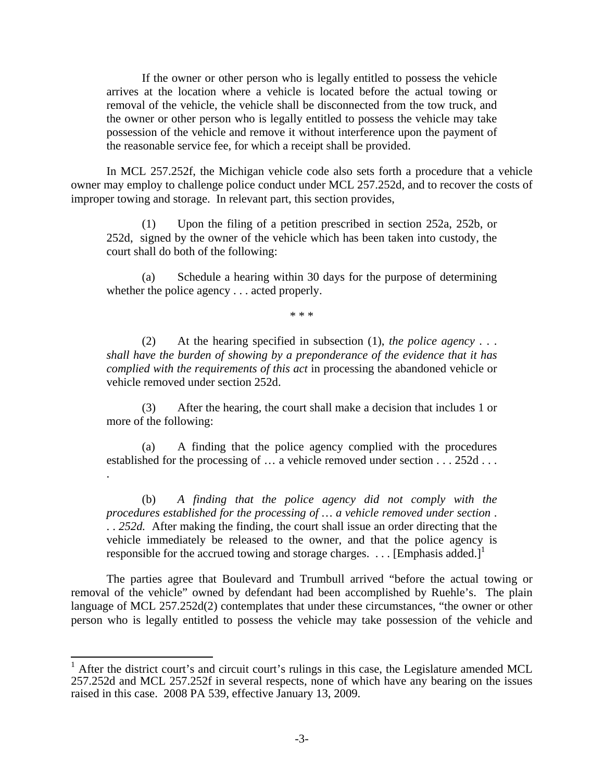If the owner or other person who is legally entitled to possess the vehicle arrives at the location where a vehicle is located before the actual towing or removal of the vehicle, the vehicle shall be disconnected from the tow truck, and the owner or other person who is legally entitled to possess the vehicle may take possession of the vehicle and remove it without interference upon the payment of the reasonable service fee, for which a receipt shall be provided.

 In MCL 257.252f, the Michigan vehicle code also sets forth a procedure that a vehicle owner may employ to challenge police conduct under MCL 257.252d, and to recover the costs of improper towing and storage. In relevant part, this section provides,

(1) Upon the filing of a petition prescribed in section 252a, 252b, or 252d, signed by the owner of the vehicle which has been taken into custody, the court shall do both of the following:

(a) Schedule a hearing within 30 days for the purpose of determining whether the police agency . . . acted properly.

\* \* \*

(2) At the hearing specified in subsection (1), *the police agency* . . . *shall have the burden of showing by a preponderance of the evidence that it has complied with the requirements of this act* in processing the abandoned vehicle or vehicle removed under section 252d.

(3) After the hearing, the court shall make a decision that includes 1 or more of the following:

(a) A finding that the police agency complied with the procedures established for the processing of … a vehicle removed under section . . . 252d . . .

.

 $\overline{\phantom{a}}$ 

(b) *A finding that the police agency did not comply with the procedures established for the processing of … a vehicle removed under section* . . . *252d.* After making the finding, the court shall issue an order directing that the vehicle immediately be released to the owner, and that the police agency is responsible for the accrued towing and storage charges. . . . [Emphasis added.]<sup>1</sup>

 The parties agree that Boulevard and Trumbull arrived "before the actual towing or removal of the vehicle" owned by defendant had been accomplished by Ruehle's. The plain language of MCL 257.252d(2) contemplates that under these circumstances, "the owner or other person who is legally entitled to possess the vehicle may take possession of the vehicle and

<sup>1</sup> After the district court's and circuit court's rulings in this case, the Legislature amended MCL 257.252d and MCL 257.252f in several respects, none of which have any bearing on the issues raised in this case. 2008 PA 539, effective January 13, 2009.